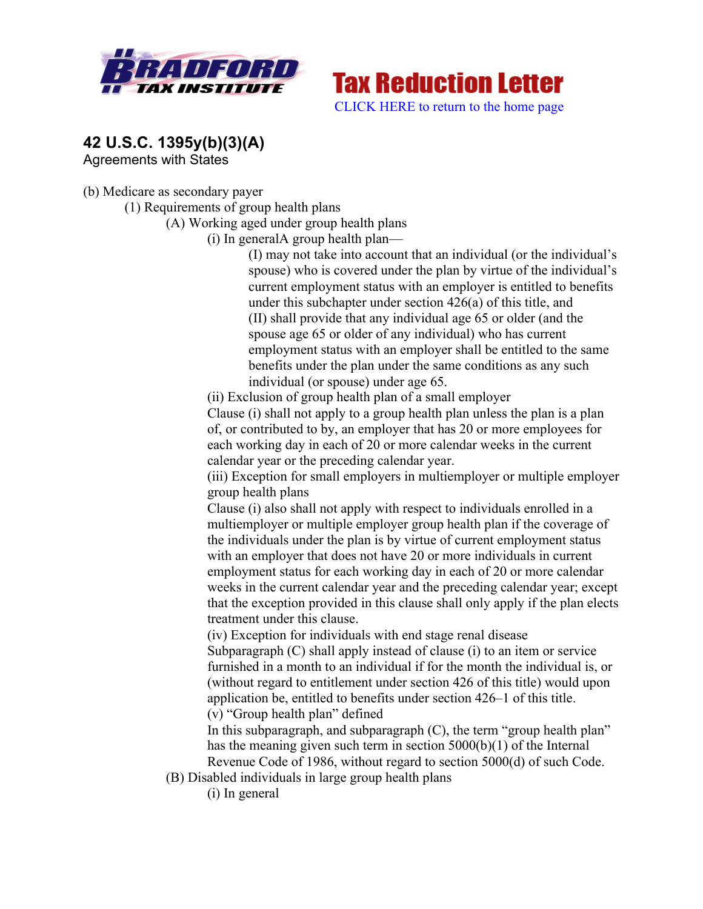



**42 U.S.C. 1395y(b)(3)(A)** Agreements with States

(b) Medicare as secondary payer

(1) Requirements of group health plans

(A) Working aged under group health plans

(i) In generalA group health plan—

(I) may not take into account that an individual (or the individual's spouse) who is covered under the plan by virtue of the individual's current employment status with an employer is entitled to benefits under this subchapter under section 426(a) of this title, and (II) shall provide that any individual age 65 or older (and the spouse age 65 or older of any individual) who has current employment status with an employer shall be entitled to the same benefits under the plan under the same conditions as any such individual (or spouse) under age 65.

(ii) Exclusion of group health plan of a small employer

Clause (i) shall not apply to a group health plan unless the plan is a plan of, or contributed to by, an employer that has 20 or more employees for each working day in each of 20 or more calendar weeks in the current calendar year or the preceding calendar year.

(iii) Exception for small employers in multiemployer or multiple employer group health plans

Clause (i) also shall not apply with respect to individuals enrolled in a multiemployer or multiple employer group health plan if the coverage of the individuals under the plan is by virtue of current employment status with an employer that does not have 20 or more individuals in current employment status for each working day in each of 20 or more calendar weeks in the current calendar year and the preceding calendar year; except that the exception provided in this clause shall only apply if the plan elects treatment under this clause.

(iv) Exception for individuals with end stage renal disease

Subparagraph (C) shall apply instead of clause (i) to an item or service furnished in a month to an individual if for the month the individual is, or (without regard to entitlement under section 426 of this title) would upon application be, entitled to benefits under section 426–1 of this title. (v) "Group health plan" defined

In this subparagraph, and subparagraph  $(C)$ , the term "group health plan" has the meaning given such term in section 5000(b)(1) of the Internal Revenue Code of 1986, without regard to section 5000(d) of such Code.

(B) Disabled individuals in large group health plans

(i) In general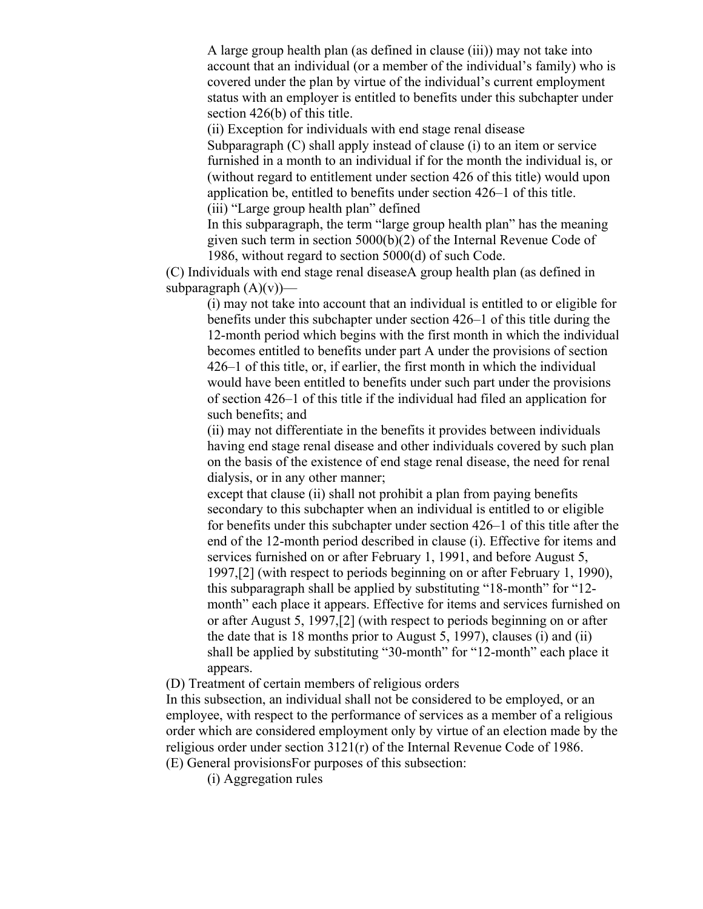A large group health plan (as defined in clause (iii)) may not take into account that an individual (or a member of the individual's family) who is covered under the plan by virtue of the individual's current employment status with an employer is entitled to benefits under this subchapter under section 426(b) of this title.

(ii) Exception for individuals with end stage renal disease Subparagraph (C) shall apply instead of clause (i) to an item or service furnished in a month to an individual if for the month the individual is, or (without regard to entitlement under section 426 of this title) would upon application be, entitled to benefits under section 426–1 of this title. (iii) "Large group health plan" defined

In this subparagraph, the term "large group health plan" has the meaning given such term in section 5000(b)(2) of the Internal Revenue Code of 1986, without regard to section 5000(d) of such Code.

(C) Individuals with end stage renal diseaseA group health plan (as defined in subparagraph  $(A)(v)$ —

(i) may not take into account that an individual is entitled to or eligible for benefits under this subchapter under section 426–1 of this title during the 12-month period which begins with the first month in which the individual becomes entitled to benefits under part A under the provisions of section 426–1 of this title, or, if earlier, the first month in which the individual would have been entitled to benefits under such part under the provisions of section 426–1 of this title if the individual had filed an application for such benefits; and

(ii) may not differentiate in the benefits it provides between individuals having end stage renal disease and other individuals covered by such plan on the basis of the existence of end stage renal disease, the need for renal dialysis, or in any other manner;

except that clause (ii) shall not prohibit a plan from paying benefits secondary to this subchapter when an individual is entitled to or eligible for benefits under this subchapter under section 426–1 of this title after the end of the 12-month period described in clause (i). Effective for items and services furnished on or after February 1, 1991, and before August 5, 1997,[2] (with respect to periods beginning on or after February 1, 1990), this subparagraph shall be applied by substituting "18-month" for "12 month" each place it appears. Effective for items and services furnished on or after August 5, 1997,[2] (with respect to periods beginning on or after the date that is 18 months prior to August 5, 1997), clauses (i) and (ii) shall be applied by substituting "30-month" for "12-month" each place it appears.

(D) Treatment of certain members of religious orders

In this subsection, an individual shall not be considered to be employed, or an employee, with respect to the performance of services as a member of a religious order which are considered employment only by virtue of an election made by the religious order under section 3121(r) of the Internal Revenue Code of 1986.

(E) General provisionsFor purposes of this subsection:

(i) Aggregation rules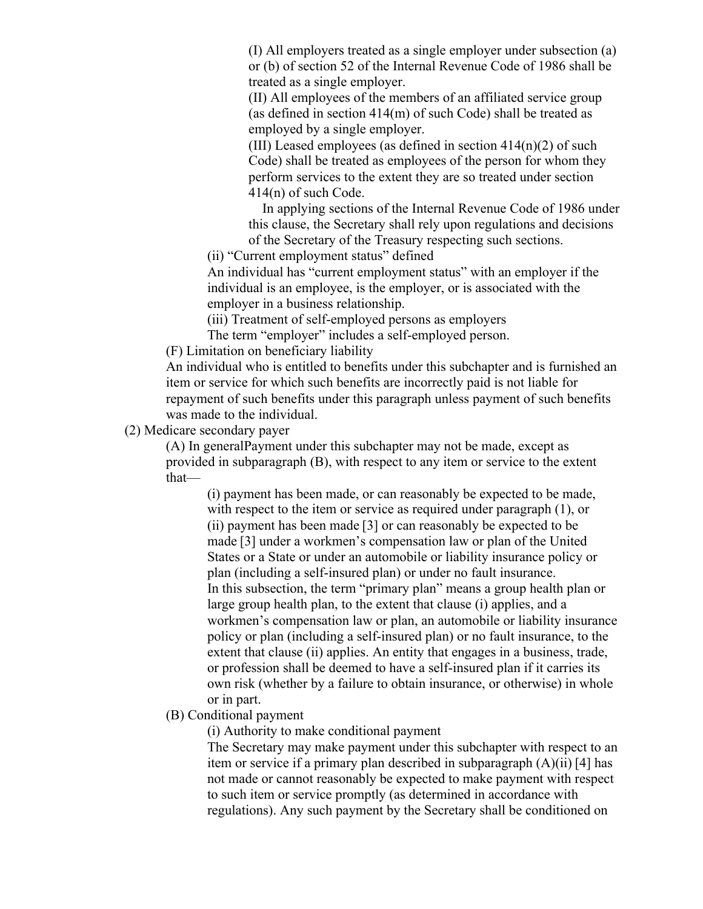(I) All employers treated as a single employer under subsection (a) or (b) of section 52 of the Internal Revenue Code of 1986 shall be treated as a single employer.

(II) All employees of the members of an affiliated service group (as defined in section 414(m) of such Code) shall be treated as employed by a single employer.

(III) Leased employees (as defined in section  $414(n)(2)$  of such Code) shall be treated as employees of the person for whom they perform services to the extent they are so treated under section 414(n) of such Code.

In applying sections of the Internal Revenue Code of 1986 under this clause, the Secretary shall rely upon regulations and decisions of the Secretary of the Treasury respecting such sections.

(ii) "Current employment status" defined

An individual has "current employment status" with an employer if the individual is an employee, is the employer, or is associated with the employer in a business relationship.

(iii) Treatment of self-employed persons as employers

The term "employer" includes a self-employed person.

(F) Limitation on beneficiary liability

An individual who is entitled to benefits under this subchapter and is furnished an item or service for which such benefits are incorrectly paid is not liable for repayment of such benefits under this paragraph unless payment of such benefits was made to the individual.

(2) Medicare secondary payer

(A) In generalPayment under this subchapter may not be made, except as provided in subparagraph (B), with respect to any item or service to the extent that—

(i) payment has been made, or can reasonably be expected to be made, with respect to the item or service as required under paragraph  $(1)$ , or (ii) payment has been made [3] or can reasonably be expected to be made [3] under a workmen's compensation law or plan of the United States or a State or under an automobile or liability insurance policy or plan (including a self-insured plan) or under no fault insurance. In this subsection, the term "primary plan" means a group health plan or large group health plan, to the extent that clause (i) applies, and a workmen's compensation law or plan, an automobile or liability insurance policy or plan (including a self-insured plan) or no fault insurance, to the extent that clause (ii) applies. An entity that engages in a business, trade, or profession shall be deemed to have a self-insured plan if it carries its own risk (whether by a failure to obtain insurance, or otherwise) in whole or in part.

(B) Conditional payment

(i) Authority to make conditional payment

The Secretary may make payment under this subchapter with respect to an item or service if a primary plan described in subparagraph (A)(ii) [4] has not made or cannot reasonably be expected to make payment with respect to such item or service promptly (as determined in accordance with regulations). Any such payment by the Secretary shall be conditioned on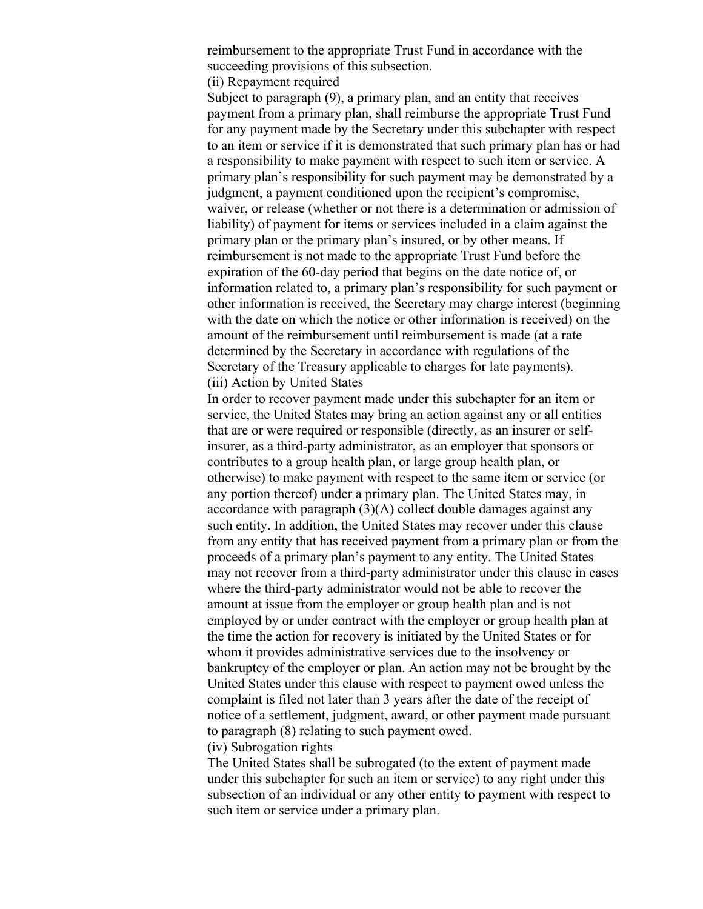reimbursement to the appropriate Trust Fund in accordance with the succeeding provisions of this subsection.

(ii) Repayment required

Subject to paragraph (9), a primary plan, and an entity that receives payment from a primary plan, shall reimburse the appropriate Trust Fund for any payment made by the Secretary under this subchapter with respect to an item or service if it is demonstrated that such primary plan has or had a responsibility to make payment with respect to such item or service. A primary plan's responsibility for such payment may be demonstrated by a judgment, a payment conditioned upon the recipient's compromise, waiver, or release (whether or not there is a determination or admission of liability) of payment for items or services included in a claim against the primary plan or the primary plan's insured, or by other means. If reimbursement is not made to the appropriate Trust Fund before the expiration of the 60-day period that begins on the date notice of, or information related to, a primary plan's responsibility for such payment or other information is received, the Secretary may charge interest (beginning with the date on which the notice or other information is received) on the amount of the reimbursement until reimbursement is made (at a rate determined by the Secretary in accordance with regulations of the Secretary of the Treasury applicable to charges for late payments). (iii) Action by United States

In order to recover payment made under this subchapter for an item or service, the United States may bring an action against any or all entities that are or were required or responsible (directly, as an insurer or selfinsurer, as a third-party administrator, as an employer that sponsors or contributes to a group health plan, or large group health plan, or otherwise) to make payment with respect to the same item or service (or any portion thereof) under a primary plan. The United States may, in accordance with paragraph (3)(A) collect double damages against any such entity. In addition, the United States may recover under this clause from any entity that has received payment from a primary plan or from the proceeds of a primary plan's payment to any entity. The United States may not recover from a third-party administrator under this clause in cases where the third-party administrator would not be able to recover the amount at issue from the employer or group health plan and is not employed by or under contract with the employer or group health plan at the time the action for recovery is initiated by the United States or for whom it provides administrative services due to the insolvency or bankruptcy of the employer or plan. An action may not be brought by the United States under this clause with respect to payment owed unless the complaint is filed not later than 3 years after the date of the receipt of notice of a settlement, judgment, award, or other payment made pursuant to paragraph (8) relating to such payment owed.

(iv) Subrogation rights

The United States shall be subrogated (to the extent of payment made under this subchapter for such an item or service) to any right under this subsection of an individual or any other entity to payment with respect to such item or service under a primary plan.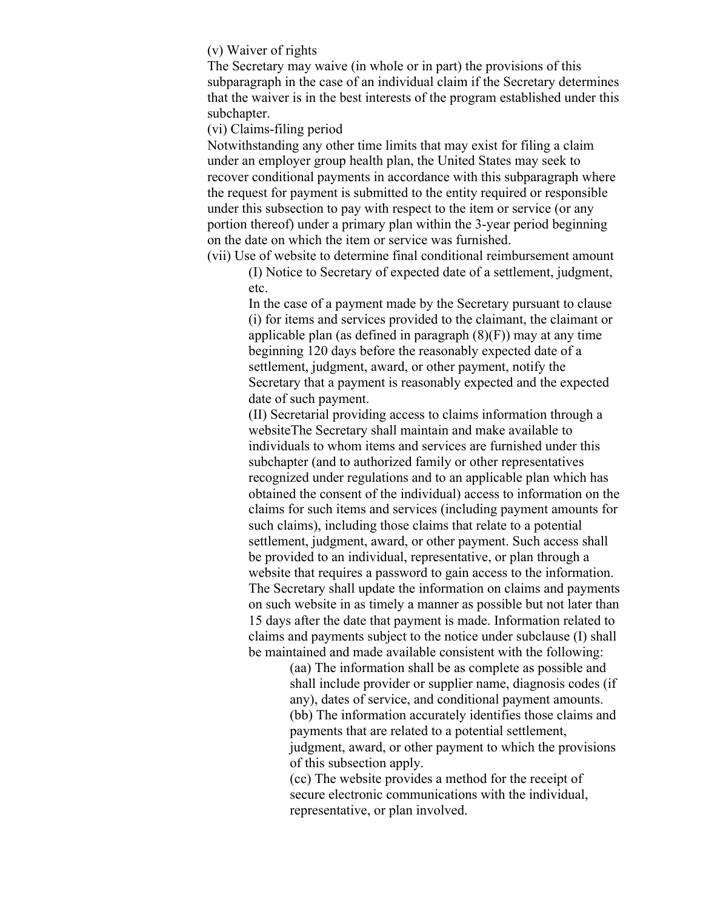(v) Waiver of rights

The Secretary may waive (in whole or in part) the provisions of this subparagraph in the case of an individual claim if the Secretary determines that the waiver is in the best interests of the program established under this subchapter.

(vi) Claims-filing period

Notwithstanding any other time limits that may exist for filing a claim under an employer group health plan, the United States may seek to recover conditional payments in accordance with this subparagraph where the request for payment is submitted to the entity required or responsible under this subsection to pay with respect to the item or service (or any portion thereof) under a primary plan within the 3-year period beginning on the date on which the item or service was furnished.

(vii) Use of website to determine final conditional reimbursement amount

(I) Notice to Secretary of expected date of a settlement, judgment, etc.

In the case of a payment made by the Secretary pursuant to clause (i) for items and services provided to the claimant, the claimant or applicable plan (as defined in paragraph  $(8)(F)$ ) may at any time beginning 120 days before the reasonably expected date of a settlement, judgment, award, or other payment, notify the Secretary that a payment is reasonably expected and the expected date of such payment.

(II) Secretarial providing access to claims information through a websiteThe Secretary shall maintain and make available to individuals to whom items and services are furnished under this subchapter (and to authorized family or other representatives recognized under regulations and to an applicable plan which has obtained the consent of the individual) access to information on the claims for such items and services (including payment amounts for such claims), including those claims that relate to a potential settlement, judgment, award, or other payment. Such access shall be provided to an individual, representative, or plan through a website that requires a password to gain access to the information. The Secretary shall update the information on claims and payments on such website in as timely a manner as possible but not later than 15 days after the date that payment is made. Information related to claims and payments subject to the notice under subclause (I) shall be maintained and made available consistent with the following:

> (aa) The information shall be as complete as possible and shall include provider or supplier name, diagnosis codes (if any), dates of service, and conditional payment amounts. (bb) The information accurately identifies those claims and payments that are related to a potential settlement, judgment, award, or other payment to which the provisions of this subsection apply.

(cc) The website provides a method for the receipt of secure electronic communications with the individual, representative, or plan involved.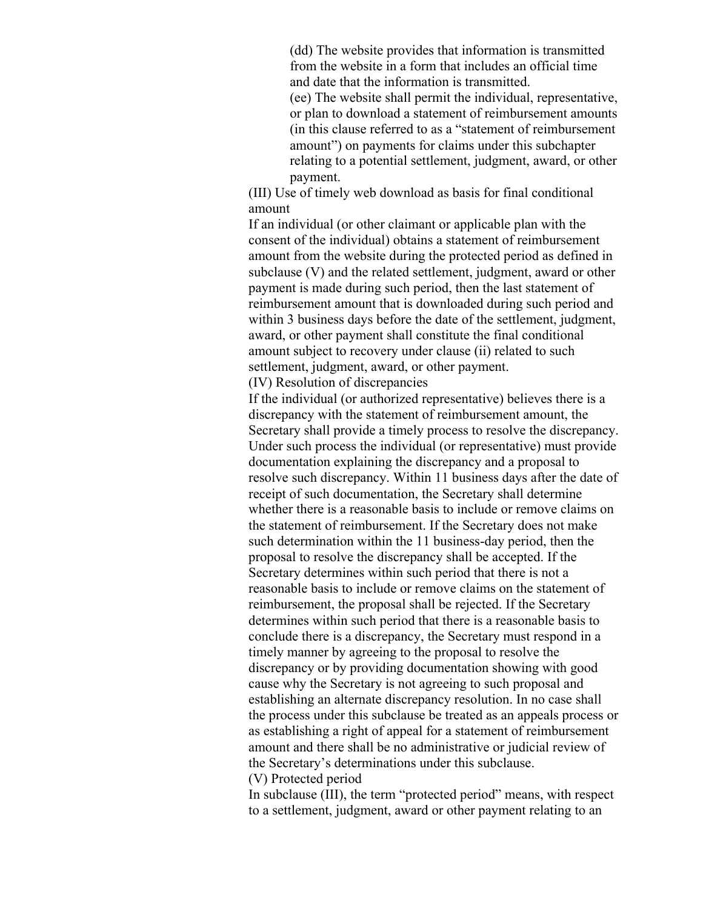(dd) The website provides that information is transmitted from the website in a form that includes an official time and date that the information is transmitted.

(ee) The website shall permit the individual, representative, or plan to download a statement of reimbursement amounts (in this clause referred to as a "statement of reimbursement amount") on payments for claims under this subchapter relating to a potential settlement, judgment, award, or other payment.

(III) Use of timely web download as basis for final conditional amount

If an individual (or other claimant or applicable plan with the consent of the individual) obtains a statement of reimbursement amount from the website during the protected period as defined in subclause (V) and the related settlement, judgment, award or other payment is made during such period, then the last statement of reimbursement amount that is downloaded during such period and within 3 business days before the date of the settlement, judgment, award, or other payment shall constitute the final conditional amount subject to recovery under clause (ii) related to such settlement, judgment, award, or other payment.

(IV) Resolution of discrepancies

If the individual (or authorized representative) believes there is a discrepancy with the statement of reimbursement amount, the Secretary shall provide a timely process to resolve the discrepancy. Under such process the individual (or representative) must provide documentation explaining the discrepancy and a proposal to resolve such discrepancy. Within 11 business days after the date of receipt of such documentation, the Secretary shall determine whether there is a reasonable basis to include or remove claims on the statement of reimbursement. If the Secretary does not make such determination within the 11 business-day period, then the proposal to resolve the discrepancy shall be accepted. If the Secretary determines within such period that there is not a reasonable basis to include or remove claims on the statement of reimbursement, the proposal shall be rejected. If the Secretary determines within such period that there is a reasonable basis to conclude there is a discrepancy, the Secretary must respond in a timely manner by agreeing to the proposal to resolve the discrepancy or by providing documentation showing with good cause why the Secretary is not agreeing to such proposal and establishing an alternate discrepancy resolution. In no case shall the process under this subclause be treated as an appeals process or as establishing a right of appeal for a statement of reimbursement amount and there shall be no administrative or judicial review of the Secretary's determinations under this subclause.

(V) Protected period

In subclause (III), the term "protected period" means, with respect to a settlement, judgment, award or other payment relating to an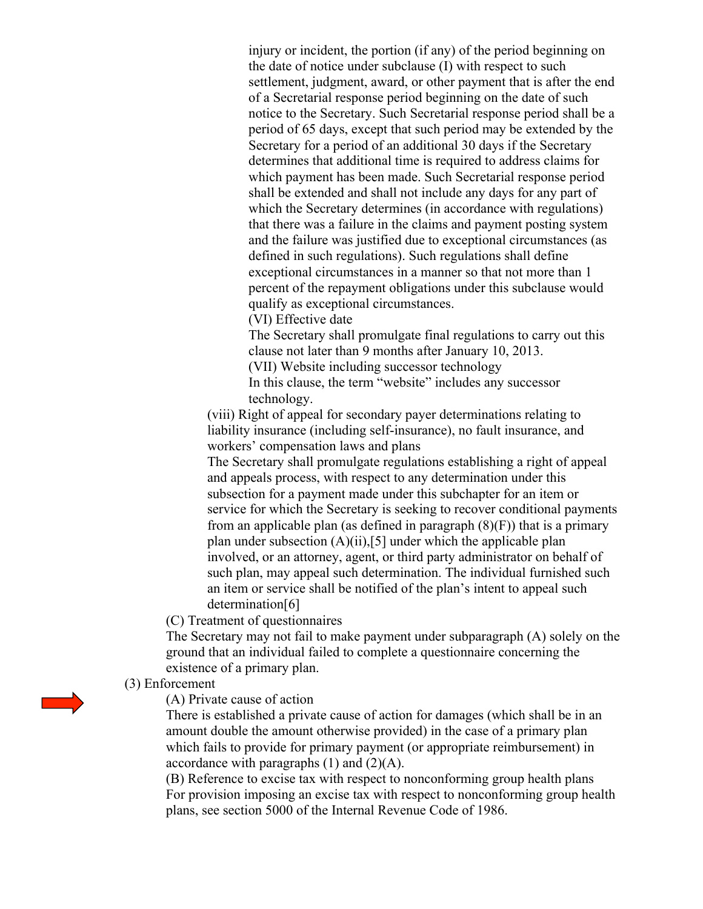injury or incident, the portion (if any) of the period beginning on the date of notice under subclause (I) with respect to such settlement, judgment, award, or other payment that is after the end of a Secretarial response period beginning on the date of such notice to the Secretary. Such Secretarial response period shall be a period of 65 days, except that such period may be extended by the Secretary for a period of an additional 30 days if the Secretary determines that additional time is required to address claims for which payment has been made. Such Secretarial response period shall be extended and shall not include any days for any part of which the Secretary determines (in accordance with regulations) that there was a failure in the claims and payment posting system and the failure was justified due to exceptional circumstances (as defined in such regulations). Such regulations shall define exceptional circumstances in a manner so that not more than 1 percent of the repayment obligations under this subclause would qualify as exceptional circumstances.

(VI) Effective date

The Secretary shall promulgate final regulations to carry out this clause not later than 9 months after January 10, 2013. (VII) Website including successor technology

In this clause, the term "website" includes any successor technology.

(viii) Right of appeal for secondary payer determinations relating to liability insurance (including self-insurance), no fault insurance, and workers' compensation laws and plans

The Secretary shall promulgate regulations establishing a right of appeal and appeals process, with respect to any determination under this subsection for a payment made under this subchapter for an item or service for which the Secretary is seeking to recover conditional payments from an applicable plan (as defined in paragraph  $(8)(F)$ ) that is a primary plan under subsection  $(A)(ii)$ , [5] under which the applicable plan involved, or an attorney, agent, or third party administrator on behalf of such plan, may appeal such determination. The individual furnished such an item or service shall be notified of the plan's intent to appeal such determination[6]

(C) Treatment of questionnaires

The Secretary may not fail to make payment under subparagraph (A) solely on the ground that an individual failed to complete a questionnaire concerning the existence of a primary plan.

(3) Enforcement

(A) Private cause of action

There is established a private cause of action for damages (which shall be in an amount double the amount otherwise provided) in the case of a primary plan which fails to provide for primary payment (or appropriate reimbursement) in accordance with paragraphs  $(1)$  and  $(2)(A)$ .

(B) Reference to excise tax with respect to nonconforming group health plans For provision imposing an excise tax with respect to nonconforming group health plans, see section 5000 of the Internal Revenue Code of 1986.